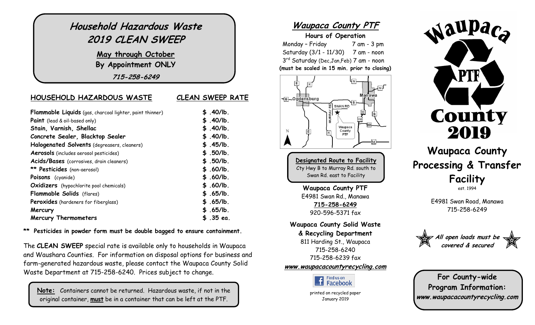| Household Hazardous Waste<br>2019 CLEAN SWEEP                   |                         |
|-----------------------------------------------------------------|-------------------------|
| May through October<br>By Appointment ONLY                      |                         |
| 715-258-6249                                                    |                         |
| HOUSEHOLD HAZARDOUS WASTE                                       | <b>CLEAN SWEEP RATE</b> |
| <b>Flammable Liquids</b> (gas, charcoal lighter, paint thinner) | \$.40/lb.               |
| <b>Paint</b> (lead & oil-based only)                            | \$.40/lb.               |
| Stain, Varnish, Shellac                                         | \$.40/lb.               |
| Concrete Sealer, Blacktop Sealer                                | \$.40/lb.               |
| Halogenated Solvents (degreasers, cleaners)                     | \$.45/lb.               |
| Aerosols (includes aerosol pesticides)                          | \$.50/lb.               |
| Acids/Bases (corrosives, drain cleaners)                        | \$.50/lb.               |
| ** Pesticides (non-aerosol)                                     | \$.60/lb.               |
| Poisons (cyanide)                                               | \$.60/lb.               |
| <b>Oxidizers</b> (hypochlorite pool chemicals)                  | \$.60/lb.               |
| Flammable Solids (flares)                                       | \$.65/lb.               |
| Peroxides (hardeners for fiberglass)                            | \$.65/lb.               |
| Mercury                                                         | \$.65/lb.               |
| <b>Mercury Thermometers</b>                                     | \$.35 ea.               |

**\*\* Pesticides in powder form must be double bagged to ensure containment.**

The **CLEAN SWEEP** special rate is available only to households in Waupaca and Waushara Counties. For information on disposal options for business and farm-generated hazardous waste, please contact the Waupaca County Solid Waste Department at 715-258-6240. Prices subject to change.

**Note:** Containers cannot be returned. Hazardous waste, if not in the original container, **must** be in a container that can be left at the PTF.

#### **Waupaca County PTF**

#### **Hours of Operation**

Monday – Friday 7 am - 3 pm Saturday (3/1 - 11/30) 7 am - noon 3 rd Saturday (Dec,Jan,Feb) 7 am - noon **(must be scaled in 15 min. prior to closing)**



**Designated Route to Facility** Cty Hwy B to Murray Rd. south to Swan Rd. east to Facility

**Waupaca County PTF** E4981 Swan Rd., Manawa **715-258-6249** 920-596-5371 fax

**Waupaca County Solid Waste**

**& Recycling Department** 811 Harding St., Waupaca 715-258-6240 715-258-6239 fax

**[www.waupacacountyrecycling.com](http://www.waupacacountyrecycling.com/)**



printed on recycled paper January 2019



### **Waupaca County Processing & Transfer Facility** est. 1994

E4981 Swan Road, Manawa 715-258-6249



**For County-wide Program Information: www.waupacacountyrecycling.com**